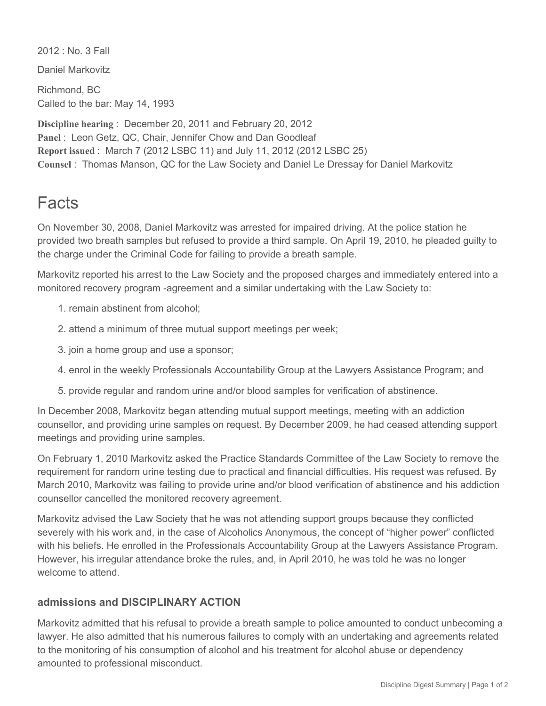2012 : No. 3 Fall

Daniel Markovitz

Richmond, BC Called to the bar: May 14, 1993

**Discipline hearing** : December 20, 2011 and February 20, 2012 Panel : Leon Getz, QC, Chair, Jennifer Chow and Dan Goodleaf **Report issued** : March 7 (2012 LSBC 11) and July 11, 2012 (2012 LSBC 25) **Counsel** : Thomas Manson, QC for the Law Society and Daniel Le Dressay for Daniel Markovitz

## Facts

On November 30, 2008, Daniel Markovitz was arrested for impaired driving. At the police station he provided two breath samples but refused to provide a third sample. On April 19, 2010, he pleaded guilty to the charge under the Criminal Code for failing to provide a breath sample.

Markovitz reported his arrest to the Law Society and the proposed charges and immediately entered into a monitored recovery program -agreement and a similar undertaking with the Law Society to:

- 1. remain abstinent from alcohol;
- 2. attend a minimum of three mutual support meetings per week;
- 3. join a home group and use a sponsor;
- 4. enrol in the weekly Professionals Accountability Group at the Lawyers Assistance Program; and
- 5. provide regular and random urine and/or blood samples for verification of abstinence.

In December 2008, Markovitz began attending mutual support meetings, meeting with an addiction counsellor, and providing urine samples on request. By December 2009, he had ceased attending support meetings and providing urine samples.

On February 1, 2010 Markovitz asked the Practice Standards Committee of the Law Society to remove the requirement for random urine testing due to practical and financial difficulties. His request was refused. By March 2010, Markovitz was failing to provide urine and/or blood verification of abstinence and his addiction counsellor cancelled the monitored recovery agreement.

Markovitz advised the Law Society that he was not attending support groups because they conflicted severely with his work and, in the case of Alcoholics Anonymous, the concept of "higher power" conflicted with his beliefs. He enrolled in the Professionals Accountability Group at the Lawyers Assistance Program. However, his irregular attendance broke the rules, and, in April 2010, he was told he was no longer welcome to attend.

## **admissions and DISCIPLINARY ACTION**

Markovitz admitted that his refusal to provide a breath sample to police amounted to conduct unbecoming a lawyer. He also admitted that his numerous failures to comply with an undertaking and agreements related to the monitoring of his consumption of alcohol and his treatment for alcohol abuse or dependency amounted to professional misconduct.